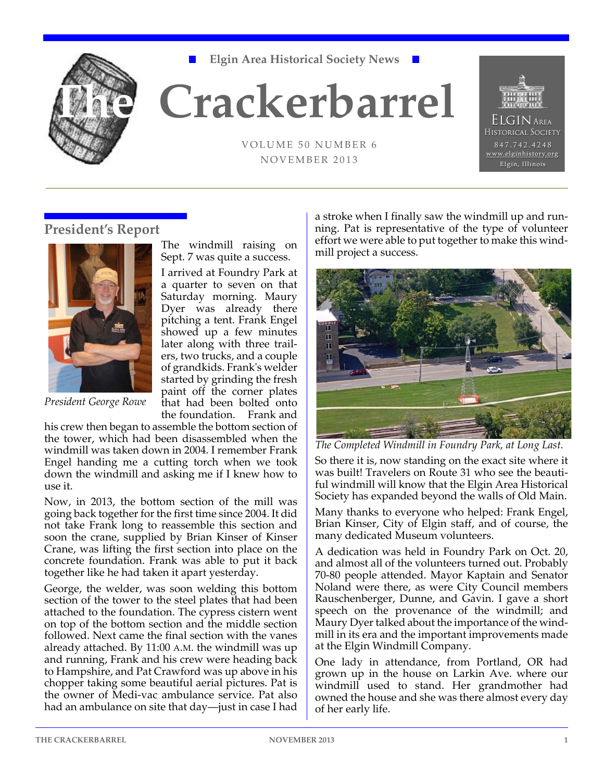

**Elgin Area Historical Society News**

# **The Crackerbarrel**

VOLUME 50 NUMBER 6 NOVEMBER 2013



## **President's Report**



*President George Rowe*

The windmill raising on Sept. 7 was quite a success.

I arrived at Foundry Park at a quarter to seven on that Saturday morning. Maury Dyer was already there pitching a tent. Frank Engel showed up a few minutes later along with three trailers, two trucks, and a couple of grandkids. Frank's welder started by grinding the fresh paint off the corner plates that had been bolted onto the foundation. Frank and

his crew then began to assemble the bottom section of the tower, which had been disassembled when the windmill was taken down in 2004. I remember Frank Engel handing me a cutting torch when we took down the windmill and asking me if I knew how to use it.

Now, in 2013, the bottom section of the mill was going back together for the first time since 2004. It did not take Frank long to reassemble this section and soon the crane, supplied by Brian Kinser of Kinser Crane, was lifting the first section into place on the concrete foundation. Frank was able to put it back together like he had taken it apart yesterday.

George, the welder, was soon welding this bottom section of the tower to the steel plates that had been attached to the foundation. The cypress cistern went on top of the bottom section and the middle section followed. Next came the final section with the vanes already attached. By 11:00 A.M. the windmill was up and running, Frank and his crew were heading back to Hampshire, and Pat Crawford was up above in his chopper taking some beautiful aerial pictures. Pat is the owner of Medi-vac ambulance service. Pat also had an ambulance on site that day—just in case I had

a stroke when I finally saw the windmill up and running. Pat is representative of the type of volunteer effort we were able to put together to make this windmill project a success.



*The Completed Windmill in Foundry Park, at Long Last.*

So there it is, now standing on the exact site where it was built! Travelers on Route 31 who see the beautiful windmill will know that the Elgin Area Historical Society has expanded beyond the walls of Old Main.

Many thanks to everyone who helped: Frank Engel, Brian Kinser, City of Elgin staff, and of course, the many dedicated Museum volunteers.

A dedication was held in Foundry Park on Oct. 20, and almost all of the volunteers turned out. Probably 70-80 people attended. Mayor Kaptain and Senator Noland were there, as were City Council members Rauschenberger, Dunne, and Gavin. I gave a short speech on the provenance of the windmill; and Maury Dyer talked about the importance of the windmill in its era and the important improvements made at the Elgin Windmill Company.

One lady in attendance, from Portland, OR had grown up in the house on Larkin Ave. where our windmill used to stand. Her grandmother had owned the house and she was there almost every day of her early life.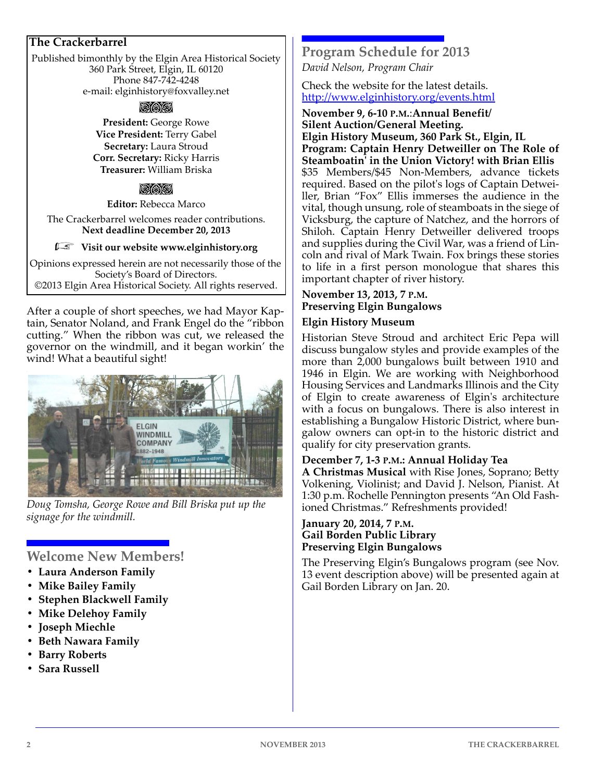## **The Crackerbarrel**

Published bimonthly by the Elgin Area Historical Society 360 Park Street, Elgin, IL 60120 Phone 847‐742‐4248 e‐mail: elginhistory@foxvalley.net

#### pag

**President:** George Rowe **Vice President:** Terry Gabel **Secretary:** Laura Stroud **Corr. Secretary:** Ricky Harris **Treasurer:** William Briska

## rac

**Editor:** Rebecca Marco The Crackerbarrel welcomes reader contributions. **Next deadline December 20, 2013**

#### *Finally* Visit our website www.elginhistory.org

Opinions expressed herein are not necessarily those of the Society's Board of Directors. ©2013 Elgin Area Historical Society. All rights reserved.

After a couple of short speeches, we had Mayor Kaptain, Senator Noland, and Frank Engel do the "ribbon cutting." When the ribbon was cut, we released the governor on the windmill, and it began workin' the wind! What a beautiful sight!



*Doug Tomsha, George Rowe and Bill Briska put up the signage for the windmill.*

## **Welcome New Members!**

- **Laura Anderson Family**
- **Mike Bailey Family**
- **Stephen Blackwell Family**
- **Mike Delehoy Family**
- **Joseph Miechle**
- **Beth Nawara Family**
- **Barry Roberts**
- **Sara Russell**

## **Program Schedule for 2013**

*David Nelson, Program Chair*

Check the website for the latest details. http://www.elginhistory.org/events.html

#### **November 9, 6‐10 P.M.**:**Annual Benefit/ Silent Auction/General Meeting.**

**Elgin History Museum, 360 Park St., Elgin, IL Program: Captain Henry Detweiller on The Role of Steamboatinʹ in the Union Victory! with Brian Ellis** \$35 Members/\$45 Non‐Members, advance tickets required. Based on the pilot's logs of Captain Detweiller, Brian "Fox" Ellis immerses the audience in the vital, though unsung, role of steamboats in the siege of Vicksburg, the capture of Natchez, and the horrors of Shiloh. Captain Henry Detweiller delivered troops and supplies during the Civil War, was a friend of Lin‐ coln and rival of Mark Twain. Fox brings these stories to life in a first person monologue that shares this important chapter of river history.

## **November 13, 2013, 7 P.M. Preserving Elgin Bungalows Elgin History Museum**

Historian Steve Stroud and architect Eric Pepa will discuss bungalow styles and provide examples of the more than 2,000 bungalows built between 1910 and 1946 in Elgin. We are working with Neighborhood Housing Services and Landmarks Illinois and the City of Elgin to create awareness of Elginʹs architecture with a focus on bungalows. There is also interest in establishing a Bungalow Historic District, where bun‐ galow owners can opt‐in to the historic district and qualify for city preservation grants.

#### **December 7, 1‐3 P.M.: Annual Holiday Tea**

**A Christmas Musical** with Rise Jones, Soprano; Betty Volkening, Violinist; and David J. Nelson, Pianist. At 1:30 p.m. Rochelle Pennington presents "An Old Fash‐ ioned Christmas." Refreshments provided!

#### **January 20, 2014, 7 P.M. Gail Borden Public Library Preserving Elgin Bungalows**

The Preserving Elgin's Bungalows program (see Nov. 13 event description above) will be presented again at Gail Borden Library on Jan. 20.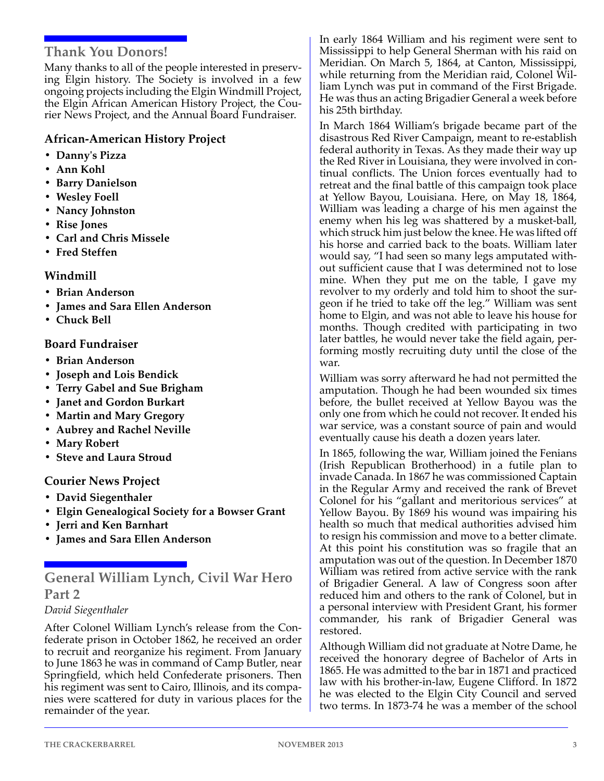## **Thank You Donors!**

Many thanks to all of the people interested in preserv‐ ing Elgin history. The Society is involved in a few ongoing projects including the Elgin Windmill Project, the Elgin African American History Project, the Cou‐ rier News Project, and the Annual Board Fundraiser.

## **African‐American History Project**

- **Dannyʹs Pizza**
- **Ann Kohl**
- **Barry Danielson**
- **Wesley Foell**
- **Nancy Johnston**
- **Rise Jones**
- **Carl and Chris Missele**
- **Fred Steffen**

## **Windmill**

- **Brian Anderson**
- **James and Sara Ellen Anderson**
- **Chuck Bell**

## **Board Fundraiser**

- **Brian Anderson**
- **Joseph and Lois Bendick**
- **Terry Gabel and Sue Brigham**
- **Janet and Gordon Burkart**
- **Martin and Mary Gregory**
- **Aubrey and Rachel Neville**
- **Mary Robert**
- **Steve and Laura Stroud**

## **Courier News Project**

- **David Siegenthaler**
- **Elgin Genealogical Society for a Bowser Grant**
- **Jerri and Ken Barnhart**
- **James and Sara Ellen Anderson**

**General William Lynch, Civil War Hero Part 2**

#### *David Siegenthaler*

After Colonel William Lynch's release from the Con‐ federate prison in October 1862, he received an order to recruit and reorganize his regiment. From January to June 1863 he was in command of Camp Butler, near Springfield, which held Confederate prisoners. Then his regiment was sent to Cairo, Illinois, and its compa‐ nies were scattered for duty in various places for the remainder of the year.

In early 1864 William and his regiment were sent to Mississippi to help General Sherman with his raid on Meridian. On March 5, 1864, at Canton, Mississippi, while returning from the Meridian raid, Colonel William Lynch was put in command of the First Brigade. He was thus an acting Brigadier General a week before his 25th birthday.

In March 1864 William's brigade became part of the disastrous Red River Campaign, meant to re‐establish federal authority in Texas. As they made their way up the Red River in Louisiana, they were involved in con‐ tinual conflicts. The Union forces eventually had to retreat and the final battle of this campaign took place at Yellow Bayou, Louisiana. Here, on May 18, 1864, William was leading a charge of his men against the enemy when his leg was shattered by a musket‐ball, which struck him just below the knee. He was lifted off his horse and carried back to the boats. William later would say, "I had seen so many legs amputated with‐ out sufficient cause that I was determined not to lose mine. When they put me on the table, I gave my revolver to my orderly and told him to shoot the surgeon if he tried to take off the leg." William was sent home to Elgin, and was not able to leave his house for months. Though credited with participating in two later battles, he would never take the field again, per‐ forming mostly recruiting duty until the close of the war.

William was sorry afterward he had not permitted the amputation. Though he had been wounded six times before, the bullet received at Yellow Bayou was the only one from which he could not recover. It ended his war service, was a constant source of pain and would eventually cause his death a dozen years later.

In 1865, following the war, William joined the Fenians (Irish Republican Brotherhood) in a futile plan to invade Canada. In 1867 he was commissioned Captain in the Regular Army and received the rank of Brevet Colonel for his "gallant and meritorious services" at Yellow Bayou. By 1869 his wound was impairing his health so much that medical authorities advised him to resign his commission and move to a better climate. At this point his constitution was so fragile that an amputation was out of the question. In December 1870 William was retired from active service with the rank of Brigadier General. A law of Congress soon after reduced him and others to the rank of Colonel, but in a personal interview with President Grant, his former commander, his rank of Brigadier General was restored.

Although William did not graduate at Notre Dame, he received the honorary degree of Bachelor of Arts in 1865. He was admitted to the bar in 1871 and practiced law with his brother‐in‐law, Eugene Clifford. In 1872 he was elected to the Elgin City Council and served two terms. In 1873‐74 he was a member of the school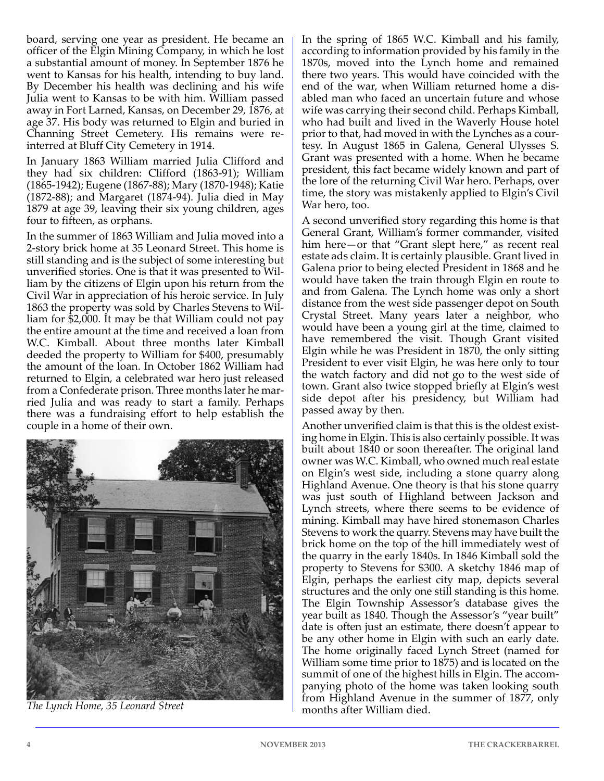board, serving one year as president. He became an officer of the Elgin Mining Company, in which he lost a substantial amount of money. In September 1876 he went to Kansas for his health, intending to buy land. By December his health was declining and his wife Julia went to Kansas to be with him. William passed away in Fort Larned, Kansas, on December 29, 1876, at age 37. His body was returned to Elgin and buried in Channing Street Cemetery. His remains were re‐ interred at Bluff City Cemetery in 1914.

In January 1863 William married Julia Clifford and they had six children: Clifford (1863‐91); William (1865‐1942); Eugene (1867‐88); Mary (1870‐1948); Katie (1872‐88); and Margaret (1874‐94). Julia died in May 1879 at age 39, leaving their six young children, ages four to fifteen, as orphans.

In the summer of 1863 William and Julia moved into a 2‐story brick home at 35 Leonard Street. This home is still standing and is the subject of some interesting but unverified stories. One is that it was presented to Wil‐ liam by the citizens of Elgin upon his return from the Civil War in appreciation of his heroic service. In July 1863 the property was sold by Charles Stevens to Wil‐ liam for \$2,000. It may be that William could not pay the entire amount at the time and received a loan from W.C. Kimball. About three months later Kimball deeded the property to William for \$400, presumably the amount of the loan. In October 1862 William had returned to Elgin, a celebrated war hero just released from a Confederate prison. Three months later he married Julia and was ready to start a family. Perhaps there was a fundraising effort to help establish the couple in a home of their own.



*The Lynch Home, 35 Leonard Street*

In the spring of 1865 W.C. Kimball and his family, according to information provided by his family in the 1870s, moved into the Lynch home and remained there two years. This would have coincided with the end of the war, when William returned home a dis‐ abled man who faced an uncertain future and whose wife was carrying their second child. Perhaps Kimball, who had built and lived in the Waverly House hotel prior to that, had moved in with the Lynches as a cour‐ tesy. In August 1865 in Galena, General Ulysses S. Grant was presented with a home. When he became president, this fact became widely known and part of the lore of the returning Civil War hero. Perhaps, over time, the story was mistakenly applied to Elgin's Civil War hero, too.

A second unverified story regarding this home is that General Grant, William's former commander, visited him here—or that "Grant slept here," as recent real estate ads claim. It is certainly plausible. Grant lived in Galena prior to being elected President in 1868 and he would have taken the train through Elgin en route to and from Galena. The Lynch home was only a short distance from the west side passenger depot on South Crystal Street. Many years later a neighbor, who would have been a young girl at the time, claimed to have remembered the visit. Though Grant visited Elgin while he was President in 1870, the only sitting President to ever visit Elgin, he was here only to tour the watch factory and did not go to the west side of town. Grant also twice stopped briefly at Elgin's west side depot after his presidency, but William had passed away by then.

Another unverified claim is that this is the oldest exist‐ ing home in Elgin. This is also certainly possible. It was built about 1840 or soon thereafter. The original land owner was W.C. Kimball, who owned much real estate on Elgin's west side, including a stone quarry along Highland Avenue. One theory is that his stone quarry was just south of Highland between Jackson and Lynch streets, where there seems to be evidence of mining. Kimball may have hired stonemason Charles Stevens to work the quarry. Stevens may have built the brick home on the top of the hill immediately west of the quarry in the early 1840s. In 1846 Kimball sold the property to Stevens for \$300. A sketchy 1846 map of Elgin, perhaps the earliest city map, depicts several structures and the only one still standing is this home. The Elgin Township Assessor's database gives the year built as 1840. Though the Assessor's "year built" date is often just an estimate, there doesn't appear to be any other home in Elgin with such an early date. The home originally faced Lynch Street (named for William some time prior to 1875) and is located on the summit of one of the highest hills in Elgin. The accom‐ panying photo of the home was taken looking south from Highland Avenue in the summer of 1877, only months after William died.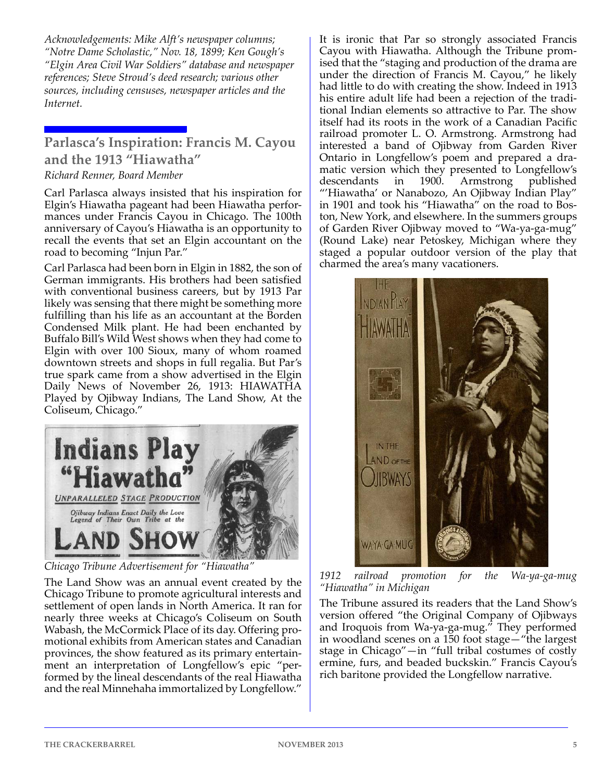*Acknowledgements: Mike Alft's newspaper columns; "Notre Dame Scholastic," Nov. 18, 1899; Ken Gough's "Elgin Area Civil War Soldiers" database and newspaper references; Steve Stroud's deed research; various other sources, including censuses, newspaper articles and the Internet.*

## **Parlasca's Inspiration: Francis M. Cayou and the 1913 "Hiawatha"**

## *Richard Renner, Board Member*

Carl Parlasca always insisted that his inspiration for Elgin's Hiawatha pageant had been Hiawatha perfor‐ mances under Francis Cayou in Chicago. The 100th anniversary of Cayou's Hiawatha is an opportunity to recall the events that set an Elgin accountant on the road to becoming "Injun Par."

Carl Parlasca had been born in Elgin in 1882, the son of German immigrants. His brothers had been satisfied with conventional business careers, but by 1913 Par likely was sensing that there might be something more fulfilling than his life as an accountant at the Borden Condensed Milk plant. He had been enchanted by Buffalo Bill's Wild West shows when they had come to Elgin with over 100 Sioux, many of whom roamed downtown streets and shops in full regalia. But Par's true spark came from a show advertised in the Elgin Daily News of November 26, 1913: HIAWATHA Played by Ojibway Indians, The Land Show, At the Coliseum, Chicago."



*Chicago Tribune Advertisement for "Hiawatha"*

The Land Show was an annual event created by the Chicago Tribune to promote agricultural interests and settlement of open lands in North America. It ran for nearly three weeks at Chicago's Coliseum on South Wabash, the McCormick Place of its day. Offering pro‐ motional exhibits from American states and Canadian provinces, the show featured as its primary entertain‐ ment an interpretation of Longfellow's epic "performed by the lineal descendants of the real Hiawatha and the real Minnehaha immortalized by Longfellow."

It is ironic that Par so strongly associated Francis Cayou with Hiawatha. Although the Tribune prom‐ ised that the "staging and production of the drama are under the direction of Francis M. Cayou," he likely had little to do with creating the show. Indeed in 1913 his entire adult life had been a rejection of the tradi‐ tional Indian elements so attractive to Par. The show itself had its roots in the work of a Canadian Pacific railroad promoter L. O. Armstrong. Armstrong had interested a band of Ojibway from Garden River Ontario in Longfellow's poem and prepared a dra‐ matic version which they presented to Longfellow's descendants in 1900. Armstrong published "'Hiawatha' or Nanabozo, An Ojibway Indian Play" in 1901 and took his "Hiawatha" on the road to Bos‐ ton, New York, and elsewhere. In the summers groups of Garden River Ojibway moved to "Wa‐ya‐ga‐mug" (Round Lake) near Petoskey, Michigan where they staged a popular outdoor version of the play that charmed the area's many vacationers.



*1912 railroad promotion for the Wa‐ya‐ga‐mug "Hiawatha" in Michigan*

The Tribune assured its readers that the Land Show's version offered "the Original Company of Ojibways and Iroquois from Wa‐ya‐ga‐mug." They performed in woodland scenes on a 150 foot stage—"the largest stage in Chicago"—in "full tribal costumes of costly ermine, furs, and beaded buckskin." Francis Cayou's rich baritone provided the Longfellow narrative.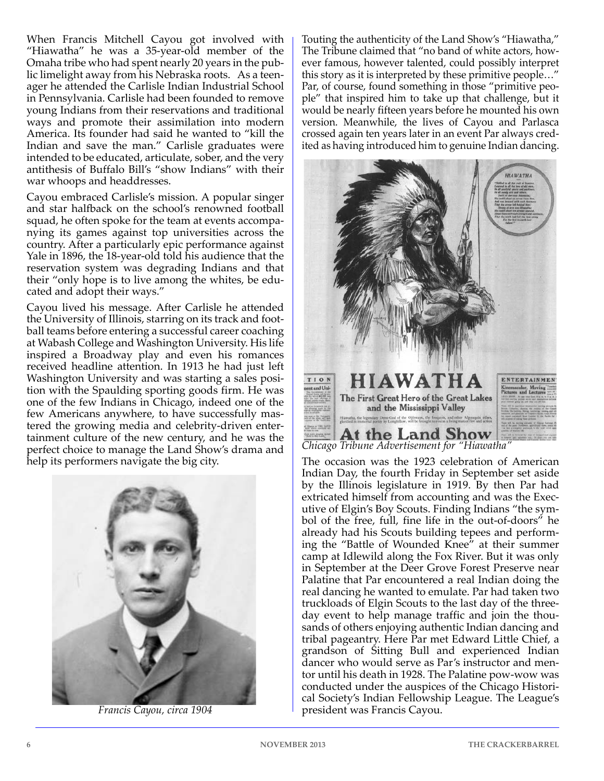When Francis Mitchell Cayou got involved with "Hiawatha" he was a 35‐year‐old member of the Omaha tribe who had spent nearly 20 years in the pub‐ lic limelight away from his Nebraska roots. As a teen‐ ager he attended the Carlisle Indian Industrial School in Pennsylvania. Carlisle had been founded to remove young Indians from their reservations and traditional ways and promote their assimilation into modern America. Its founder had said he wanted to "kill the Indian and save the man." Carlisle graduates were intended to be educated, articulate, sober, and the very antithesis of Buffalo Bill's "show Indians" with their war whoops and headdresses.

Cayou embraced Carlisle's mission. A popular singer and star halfback on the school's renowned football squad, he often spoke for the team at events accompa‐ nying its games against top universities across the country. After a particularly epic performance against Yale in 1896, the 18‐year‐old told his audience that the reservation system was degrading Indians and that their "only hope is to live among the whites, be edu‐ cated and adopt their ways."

Cayou lived his message. After Carlisle he attended the University of Illinois, starring on its track and foot‐ ball teams before entering a successful career coaching at Wabash College and Washington University. His life inspired a Broadway play and even his romances received headline attention. In 1913 he had just left Washington University and was starting a sales position with the Spaulding sporting goods firm. He was one of the few Indians in Chicago, indeed one of the few Americans anywhere, to have successfully mastered the growing media and celebrity‐driven enter‐ tainment culture of the new century, and he was the perfect choice to manage the Land Show's drama and help its performers navigate the big city.



*Francis Cayou, circa 1904*

Touting the authenticity of the Land Show's "Hiawatha," The Tribune claimed that "no band of white actors, how‐ ever famous, however talented, could possibly interpret this story as it is interpreted by these primitive people…" Par, of course, found something in those "primitive peo‐ ple" that inspired him to take up that challenge, but it would be nearly fifteen years before he mounted his own version. Meanwhile, the lives of Cayou and Parlasca crossed again ten years later in an event Par always cred‐ ited as having introduced him to genuine Indian dancing.



The occasion was the 1923 celebration of American Indian Day, the fourth Friday in September set aside by the Illinois legislature in 1919. By then Par had extricated himself from accounting and was the Exec‐ utive of Elgin's Boy Scouts. Finding Indians "the sym‐ bol of the free, full, fine life in the out‐of‐doors" he already had his Scouts building tepees and perform‐ ing the "Battle of Wounded Knee" at their summer camp at Idlewild along the Fox River. But it was only in September at the Deer Grove Forest Preserve near Palatine that Par encountered a real Indian doing the real dancing he wanted to emulate. Par had taken two truckloads of Elgin Scouts to the last day of the three‐ day event to help manage traffic and join the thou‐ sands of others enjoying authentic Indian dancing and tribal pageantry. Here Par met Edward Little Chief, a grandson of Sitting Bull and experienced Indian dancer who would serve as Par's instructor and men‐ tor until his death in 1928. The Palatine pow‐wow was conducted under the auspices of the Chicago Histori‐ cal Society's Indian Fellowship League. The League's president was Francis Cayou.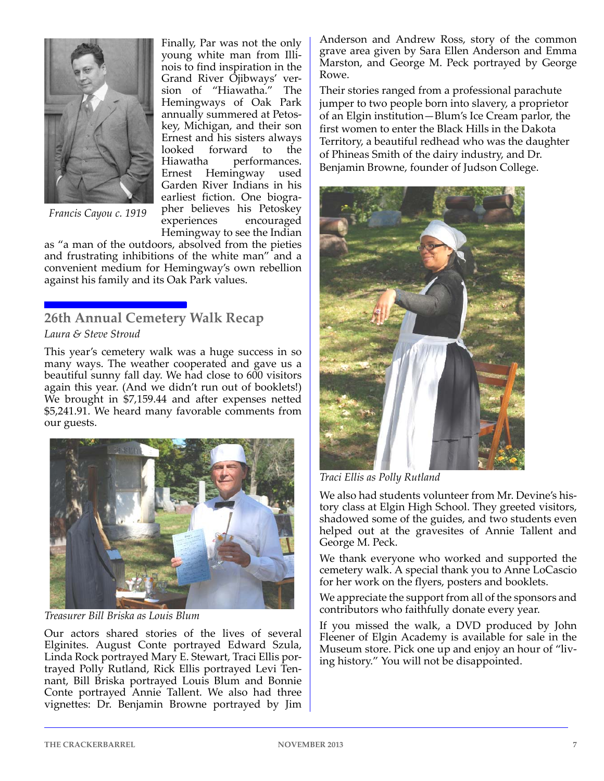

Finally, Par was not the only young white man from Illi‐ nois to find inspiration in the Grand River Ojibways' ver‐ sion of "Hiawatha." The Hemingways of Oak Park annually summered at Petos‐ key, Michigan, and their son Ernest and his sisters always<br>looked forward to the looked forward to<br>Hiawatha performa performances. Ernest Hemingway used Garden River Indians in his earliest fiction. One biogra‐ pher believes his Petoskey experiences encouraged Hemingway to see the Indian

*Francis Cayou c. 1919*

as "a man of the outdoors, absolved from the pieties and frustrating inhibitions of the white man" and a convenient medium for Hemingway's own rebellion against his family and its Oak Park values.

## **26th Annual Cemetery Walk Recap** *Laura & Steve Stroud*

This year's cemetery walk was a huge success in so many ways. The weather cooperated and gave us a beautiful sunny fall day. We had close to 600 visitors again this year. (And we didn't run out of booklets!) We brought in \$7,159.44 and after expenses netted \$5,241.91. We heard many favorable comments from our guests.



*Treasurer Bill Briska as Louis Blum*

Our actors shared stories of the lives of several Elginites. August Conte portrayed Edward Szula, Linda Rock portrayed Mary E. Stewart, Traci Ellis por‐ trayed Polly Rutland, Rick Ellis portrayed Levi Ten‐ nant, Bill Briska portrayed Louis Blum and Bonnie Conte portrayed Annie Tallent. We also had three vignettes: Dr. Benjamin Browne portrayed by Jim Anderson and Andrew Ross, story of the common grave area given by Sara Ellen Anderson and Emma Marston, and George M. Peck portrayed by George Rowe.

Their stories ranged from a professional parachute jumper to two people born into slavery, a proprietor of an Elgin institution—Blum's Ice Cream parlor, the first women to enter the Black Hills in the Dakota Territory, a beautiful redhead who was the daughter of Phineas Smith of the dairy industry, and Dr. Benjamin Browne, founder of Judson College.



*Traci Ellis as Polly Rutland*

We also had students volunteer from Mr. Devine's history class at Elgin High School. They greeted visitors, shadowed some of the guides, and two students even helped out at the gravesites of Annie Tallent and George M. Peck.

We thank everyone who worked and supported the cemetery walk. A special thank you to Anne LoCascio for her work on the flyers, posters and booklets.

We appreciate the support from all of the sponsors and contributors who faithfully donate every year.

If you missed the walk, a DVD produced by John Fleener of Elgin Academy is available for sale in the Museum store. Pick one up and enjoy an hour of "liv‐ ing history." You will not be disappointed.